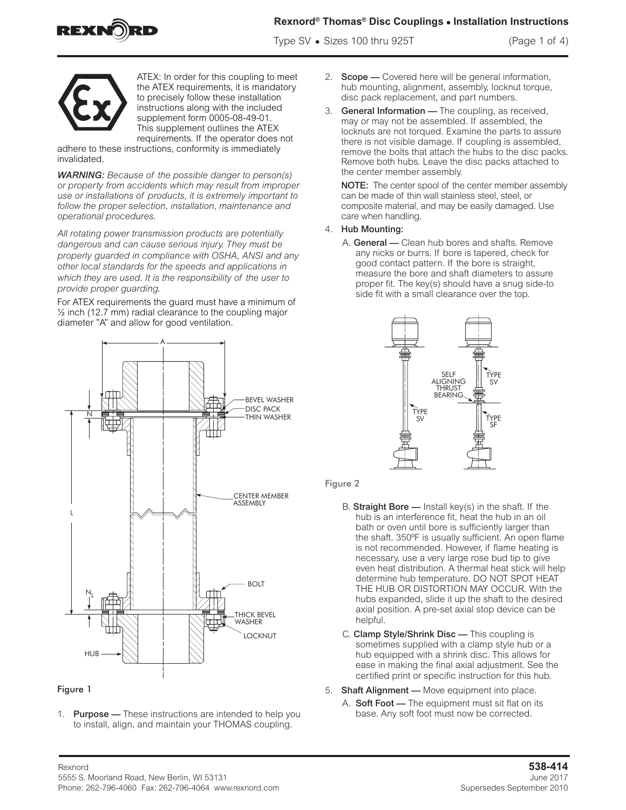

# **Rexnord® Thomas® Disc Couplings • Installation Instructions**

Type SV **•** Sizes 100 thru 925T (Page 1 of 4)



ATEX: In order for this coupling to meet the ATEX requirements, it is mandatory to precisely follow these installation instructions along with the included supplement form 0005-08-49-01. This supplement outlines the ATEX requirements. If the operator does not

adhere to these instructions, conformity is immediately invalidated.

*WARNING: Because of the possible danger to person(s) or property from accidents which may result from improper use or installations of products, it is extremely important to follow the proper selection, installation, maintenance and operational procedures.*

*All rotating power transmission products are potentially dangerous and can cause serious injury. They must be properly guarded in compliance with OSHA, ANSI and any other local standards for the speeds and applications in which they are used. It is the responsibility of the user to provide proper guarding.*

For ATEX requirements the guard must have a minimum of  $\frac{1}{2}$  inch (12.7 mm) radial clearance to the coupling major diameter "A" and allow for good ventilation.



### Figure 1

1. Purpose - These instructions are intended to help you to install, align, and maintain your THOMAS coupling.

- 2. Scope Covered here will be general information, hub mounting, alignment, assembly, locknut torque, disc pack replacement, and part numbers.
- 3. General Information The coupling, as received, may or may not be assembled. If assembled, the locknuts are not torqued. Examine the parts to assure there is not visible damage. If coupling is assembled, remove the bolts that attach the hubs to the disc packs. Remove both hubs. Leave the disc packs attached to the center member assembly.

NOTE: The center spool of the center member assembly can be made of thin wall stainless steel, steel, or composite material, and may be easily damaged. Use care when handling.

#### 4. Hub Mounting:

A. General - Clean hub bores and shafts. Remove any nicks or burrs. If bore is tapered, check for good contact pattern. If the bore is straight, measure the bore and shaft diameters to assure proper fit. The key(s) should have a snug side-to side fit with a small clearance over the top.



#### Figure 2

- B. Straight Bore  $-$  Install key(s) in the shaft. If the hub is an interference fit, heat the hub in an oil bath or oven until bore is sufficiently larger than the shaft. 350ºF is usually sufficient. An open flame is not recommended. However, if flame heating is necessary, use a very large rose bud tip to give even heat distribution. A thermal heat stick will help determine hub temperature. DO NOT SPOT HEAT THE HUB OR DISTORTION MAY OCCUR. With the hubs expanded, slide it up the shaft to the desired axial position. A pre-set axial stop device can be helpful.
- C. Clamp Style/Shrink Disc This coupling is sometimes supplied with a clamp style hub or a hub equipped with a shrink disc. This allows for ease in making the final axial adjustment. See the certified print or specific instruction for this hub.
- 5. Shaft Alignment Move equipment into place.
- A. Soft Foot The equipment must sit flat on its base. Any soft foot must now be corrected.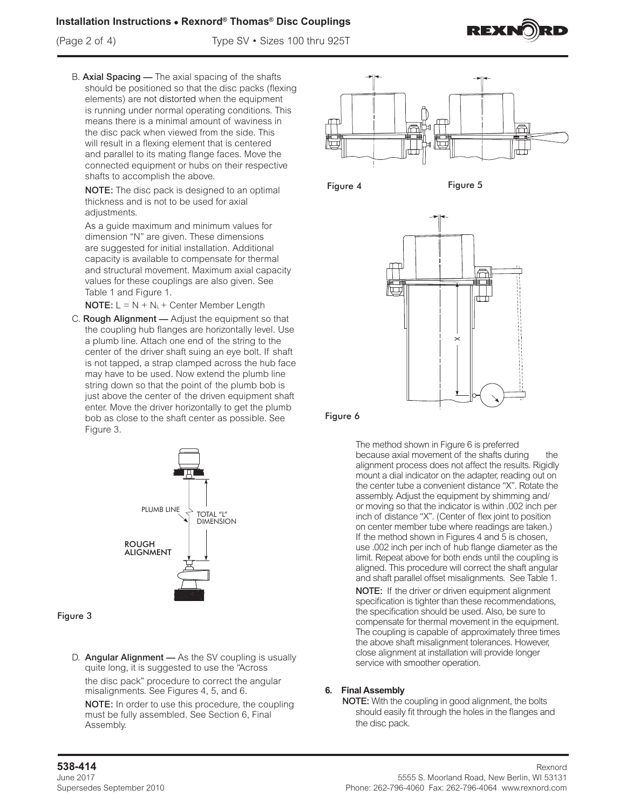## **Installation Instructions • Rexnord® Thomas® Disc Couplings**

(Page 2 of 4) Type SV • Sizes 100 thru 925T



B. Axial Spacing — The axial spacing of the shafts should be positioned so that the disc packs (flexing elements) are not distorted when the equipment is running under normal operating conditions. This means there is a minimal amount of waviness in the disc pack when viewed from the side. This will result in a flexing element that is centered and parallel to its mating flange faces. Move the connected equipment or hubs on their respective shafts to accomplish the above.

NOTE: The disc pack is designed to an optimal thickness and is not to be used for axial adjustments.

As a guide maximum and minimum values for dimension "N" are given. These dimensions are suggested for initial installation. Additional capacity is available to compensate for thermal and structural movement. Maximum axial capacity values for these couplings are also given. See Table 1 and Figure 1.

**NOTE:**  $L = N + N_L +$  Center Member Length

C. Rough Alignment — Adjust the equipment so that the coupling hub flanges are horizontally level. Use a plumb line. Attach one end of the string to the center of the driver shaft suing an eye bolt. If shaft is not tapped, a strap clamped across the hub face may have to be used. Now extend the plumb line string down so that the point of the plumb bob is just above the center of the driven equipment shaft enter. Move the driver horizontally to get the plumb bob as close to the shaft center as possible. See Figure 3.



### Figure 3

D. Angular Alignment - As the SV coupling is usually quite long, it is suggested to use the "Across the disc pack" procedure to correct the angular misalignments. See Figures 4, 5, and 6.

NOTE: In order to use this procedure, the coupling must be fully assembled. See Section 6, Final Assembly.





Figure 4 Figure 5



Figure 6

The method shown in Figure 6 is preferred because axial movement of the shafts during the alignment process does not affect the results. Rigidly mount a dial indicator on the adapter, reading out on the center tube a convenient distance "X". Rotate the assembly. Adjust the equipment by shimming and/ or moving so that the indicator is within .002 inch per inch of distance "X". (Center of flex joint to position on center member tube where readings are taken.) If the method shown in Figures 4 and 5 is chosen, use .002 inch per inch of hub flange diameter as the limit. Repeat above for both ends until the coupling is aligned. This procedure will correct the shaft angular and shaft parallel offset misalignments. See Table 1.

NOTE: If the driver or driven equipment alignment specification is tighter than these recommendations, the specification should be used. Also, be sure to compensate for thermal movement in the equipment. The coupling is capable of approximately three times the above shaft misalignment tolerances. However, close alignment at installation will provide longer service with smoother operation.

### **6. Final Assembly**

NOTE: With the coupling in good alignment, the bolts should easily fit through the holes in the flanges and the disc pack.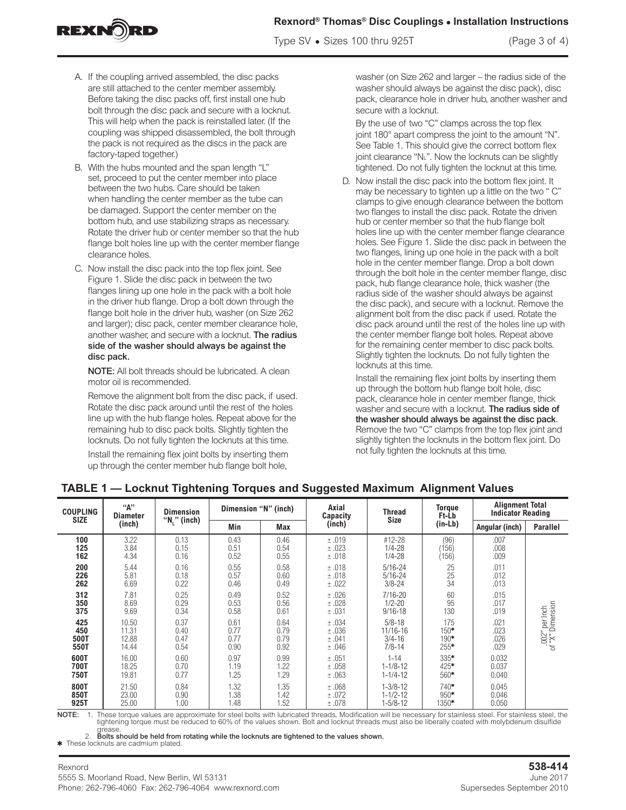### **Rexnord® Thomas® Disc Couplings • Installation Instructions**

Type SV **•** Sizes 100 thru 925T (Page 3 of 4)

A. If the coupling arrived assembled, the disc packs are still attached to the center member assembly. Before taking the disc packs off, first install one hub bolt through the disc pack and secure with a locknut. This will help when the pack is reinstalled later. (If the coupling was shipped disassembled, the bolt through the pack is not required as the discs in the pack are factory-taped together.)

REXN**î**RD

- B. With the hubs mounted and the span length "L" set, proceed to put the center member into place between the two hubs. Care should be taken when handling the center member as the tube can be damaged. Support the center member on the bottom hub, and use stabilizing straps as necessary. Rotate the driver hub or center member so that the hub flange bolt holes line up with the center member flange clearance holes.
- C. Now install the disc pack into the top flex joint. See Figure 1. Slide the disc pack in between the two flanges lining up one hole in the pack with a bolt hole in the driver hub flange. Drop a bolt down through the flange bolt hole in the driver hub, washer (on Size 262 and larger); disc pack, center member clearance hole, another washer, and secure with a locknut. The radius side of the washer should always be against the disc pack.

NOTE: All bolt threads should be lubricated. A clean motor oil is recommended.

Remove the alignment bolt from the disc pack, if used. Rotate the disc pack around until the rest of the holes line up with the hub flange holes. Repeat above for the remaining hub to disc pack bolts. Slightly tighten the locknuts. Do not fully tighten the locknuts at this time.

Install the remaining flex joint bolts by inserting them up through the center member hub flange bolt hole,

washer (on Size 262 and larger – the radius side of the washer should always be against the disc pack), disc pack, clearance hole in driver hub, another washer and secure with a locknut.

By the use of two "C" clamps across the top flex joint 180° apart compress the joint to the amount "N". See Table 1. This should give the correct bottom flex joint clearance "NL". Now the locknuts can be slightly tightened. Do not fully tighten the locknut at this time.

D. Now install the disc pack into the bottom flex joint. It may be necessary to tighten up a little on the two " C" clamps to give enough clearance between the bottom two flanges to install the disc pack. Rotate the driven hub or center member so that the hub flange bolt holes line up with the center member flange clearance holes. See Figure 1. Slide the disc pack in between the two flanges, lining up one hole in the pack with a bolt hole in the center member flange. Drop a bolt down through the bolt hole in the center member flange, disc pack, hub flange clearance hole, thick washer (the radius side of the washer should always be against the disc pack), and secure with a locknut. Remove the alignment bolt from the disc pack if used. Rotate the disc pack around until the rest of the holes line up with the center member flange bolt holes. Repeat above for the remaining center member to disc pack bolts. Slightly tighten the locknuts. Do not fully tighten the locknuts at this time.

Install the remaining flex joint bolts by inserting them up through the bottom hub flange bolt hole, disc pack, clearance hole in center member flange, thick washer and secure with a locknut. The radius side of the washer should always be against the disc pack. Remove the two "C" clamps from the top flex joint and slightly tighten the locknuts in the bottom flex joint. Do not fully tighten the locknuts at this time.

| <b>COUPLING</b><br><b>SIZE</b> | "А"<br><b>Diameter</b> | <b>Dimension</b> | Dimension "N" (inch) |      | Axial<br>Capacity                                                                                                                                         | Thread         | <b>Torque</b><br>Ft-Lb | <b>Alignment Total</b><br><b>Indicator Reading</b> |                                    |  |
|--------------------------------|------------------------|------------------|----------------------|------|-----------------------------------------------------------------------------------------------------------------------------------------------------------|----------------|------------------------|----------------------------------------------------|------------------------------------|--|
|                                | (inch)                 | " $N_i$ " (inch) | Min<br><b>Max</b>    |      | (inch)                                                                                                                                                    | Size           | $(in-Lb)$              | Angular (inch)                                     | <b>Parallel</b>                    |  |
| 100                            | 3.22                   | 0.13             | 0.43                 | 0.46 | ±.019                                                                                                                                                     | #12-28         | (96)                   | .007                                               |                                    |  |
| 125                            | 3.84                   | 0.15             | 0.51                 | 0.54 | ±.023                                                                                                                                                     | $1/4 - 28$     | 156                    | .008                                               |                                    |  |
| 162                            | 4.34                   | 0.16             | 0.52                 | 0.55 | ±.018                                                                                                                                                     | $1/4 - 28$     | (156)                  | .009                                               |                                    |  |
| 200                            | 5.44                   | 0.16             | 0.55                 | 0.58 | ±.018                                                                                                                                                     | $5/16 - 24$    | 25                     | .011                                               |                                    |  |
| 226                            | 5.81                   | 0.18             | 0.57                 | 0.60 | ±.018                                                                                                                                                     | $5/16 - 24$    | 25                     | .012                                               |                                    |  |
| 262                            | 6.69                   | 0.22             | 0.46                 | 0.49 | ±.022                                                                                                                                                     | $3/8 - 24$     | 34                     | .013                                               |                                    |  |
| 312                            | 7.81                   | 0.25             | 0.49                 | 0.52 | ±.026                                                                                                                                                     | $7/16 - 20$    | 60                     | .015                                               |                                    |  |
| 350                            | 8.69                   | 0.29             | 0.53                 | 0.56 | ±.028                                                                                                                                                     | $1/2 - 20$     | 95                     | .017                                               |                                    |  |
| 375                            | 9.69                   | 0.34             | 0.58                 | 0.61 | ±.031                                                                                                                                                     | $9/16 - 18$    | 130                    | .019                                               |                                    |  |
| 425                            | 10.50                  | 0.37             | 0.61                 | 0.64 | ±.034                                                                                                                                                     | $5/8 - 18$     | 175                    | .021                                               | .002" per Inch<br>of "X" Dimension |  |
| 450                            | 11.31                  | 0.40             | 0.77                 | 0.79 | ±.036                                                                                                                                                     | 11/16-16       | $150*$                 | .023                                               |                                    |  |
| 500T                           | 12.88                  | 0.47             | 0.77                 | 0.79 | ±.041                                                                                                                                                     | $3/4 - 16$     | 190*                   | .026                                               |                                    |  |
| 550T                           | 14.44                  | 0.54             | 0.90                 | 0.92 | ±.046                                                                                                                                                     | $7/8 - 14$     | $255*$                 | .029                                               |                                    |  |
| 600T                           | 16.00                  | 0.60             | 0.97                 | 0.99 | ±.051                                                                                                                                                     | $1 - 14$       | $335*$                 | 0.032                                              |                                    |  |
| 700T                           | 18.25                  | 0.70             | 1.19                 | 1.22 | ±.058                                                                                                                                                     | $1 - 1/8 - 12$ | $425*$                 | 0.037                                              |                                    |  |
| 750T                           | 19.81                  | 0.77             | 1.25                 | 1.29 | ±.063                                                                                                                                                     | $1 - 1/4 - 12$ | $560*$                 | 0.040                                              |                                    |  |
| 800T                           | 21.50                  | 0.84             | 1.32                 | 1.35 | ±.068                                                                                                                                                     | $1 - 3/8 - 12$ | 740*                   | 0.045                                              |                                    |  |
| 850T                           | 23.00                  | 0.90             | 1.38                 | 1.42 | ±.072                                                                                                                                                     | $1 - 1/2 - 12$ | $950*$                 | 0.046                                              |                                    |  |
| 925T                           | 25.00                  | 1.00             | 1.48                 | 1.52 | ±.078                                                                                                                                                     | $1 - 5/8 - 12$ | 1350*                  | 0.050                                              |                                    |  |
| NOTF:                          |                        |                  |                      |      | These torque values are approximate for steel bolts with lubricated threads. Modification will be necessary for stainless steel. For stainless steel, the |                |                        |                                                    |                                    |  |

## **TABLE 1 — Locknut Tightening Torques and Suggested Maximum Alignment Values**

NOTE: 1. These torque values are approximate for steel bolts with lubricated threads. Modification will be necessary for stainless steel. For stainless steel, the<br>tightening torque must be reduced to 60% of the values show

grease. 2. Bolts should be held from rotating while the locknuts are tightened to the values shown.

\* These locknuts are cadmium plated.